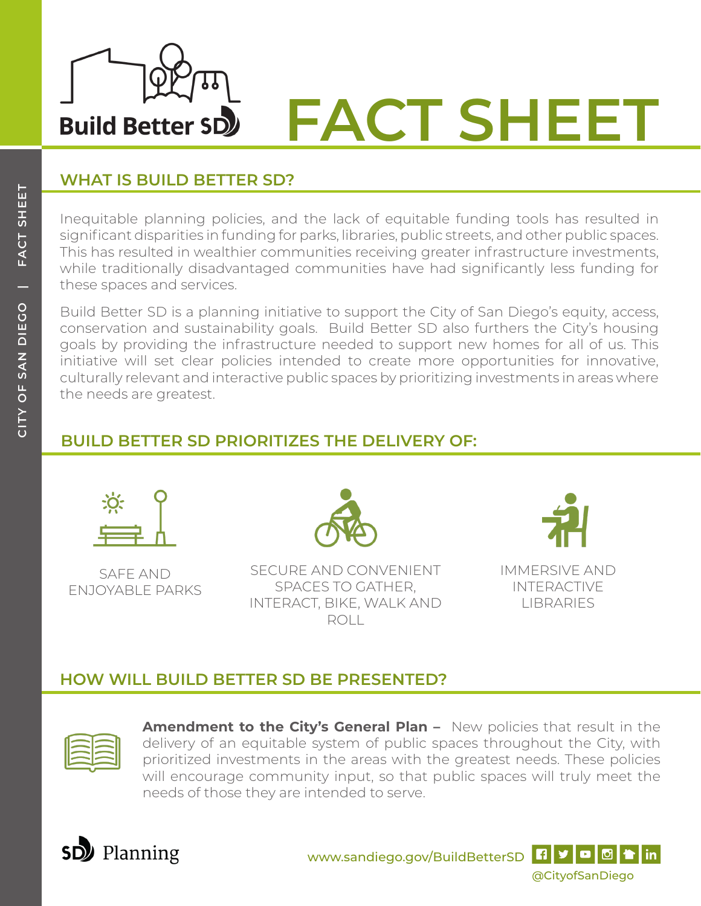

### **WHAT IS BUILD BETTER SD?**

Inequitable planning policies, and the lack of equitable funding tools has resulted in significant disparities in funding for parks, libraries, public streets, and other public spaces. This has resulted in wealthier communities receiving greater infrastructure investments, while traditionally disadvantaged communities have had significantly less funding for these spaces and services.

Build Better SD is a planning initiative to support the City of San Diego's equity, access, conservation and sustainability goals. Build Better SD also furthers the City's housing goals by providing the infrastructure needed to support new homes for all of us. This initiative will set clear policies intended to create more opportunities for innovative, culturally relevant and interactive public spaces by prioritizing investments in areas where the needs are greatest.

# **BUILD BETTER SD PRIORITIZES THE DELIVERY OF:**



SAFE AND ENJOYABLE PARKS



SECURE AND CONVENIENT SPACES TO GATHER, INTERACT, BIKE, WALK AND ROLL



IMMERSIVE AND INTERACTIVE **LIBRARIES** 

## **HOW WILL BUILD BETTER SD BE PRESENTED?**



**Amendment to the City's General Plan –** New policies that result in the delivery of an equitable system of public spaces throughout the City, with prioritized investments in the areas with the greatest needs. These policies will encourage community input, so that public spaces will truly meet the needs of those they are intended to serve.



www.sandiego.gov/BuildBetterSD **4 9 0 0 + in**